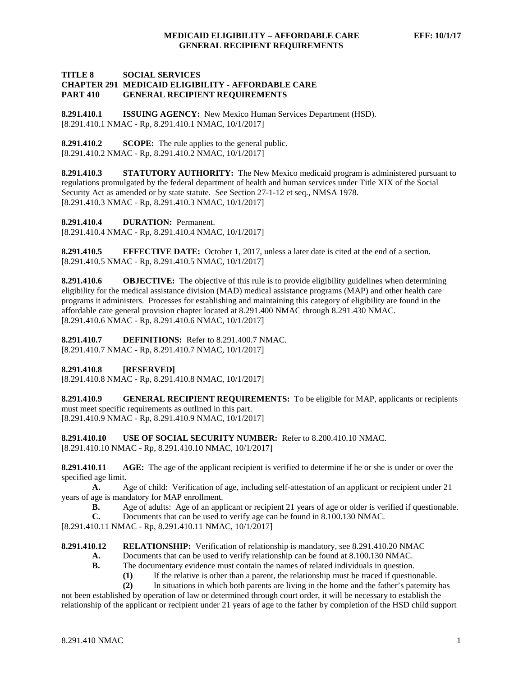#### **TITLE 8 SOCIAL SERVICES CHAPTER 291 MEDICAID ELIGIBILITY - AFFORDABLE CARE PART 410 GENERAL RECIPIENT REQUIREMENTS**

**8.291.410.1 ISSUING AGENCY:** New Mexico Human Services Department (HSD). [8.291.410.1 NMAC - Rp, 8.291.410.1 NMAC, 10/1/2017]

**8.291.410.2 SCOPE:** The rule applies to the general public. [8.291.410.2 NMAC - Rp, 8.291.410.2 NMAC, 10/1/2017]

**8.291.410.3 STATUTORY AUTHORITY:** The New Mexico medicaid program is administered pursuant to regulations promulgated by the federal department of health and human services under Title XIX of the Social Security Act as amended or by state statute. See Section 27-1-12 et seq., NMSA 1978. [8.291.410.3 NMAC - Rp, 8.291.410.3 NMAC, 10/1/2017]

**8.291.410.4 DURATION:** Permanent.

[8.291.410.4 NMAC - Rp, 8.291.410.4 NMAC, 10/1/2017]

**8.291.410.5 EFFECTIVE DATE:** October 1, 2017, unless a later date is cited at the end of a section. [8.291.410.5 NMAC - Rp, 8.291.410.5 NMAC, 10/1/2017]

**8.291.410.6 OBJECTIVE:** The objective of this rule is to provide eligibility guidelines when determining eligibility for the medical assistance division (MAD) medical assistance programs (MAP) and other health care programs it administers. Processes for establishing and maintaining this category of eligibility are found in the affordable care general provision chapter located at 8.291.400 NMAC through 8.291.430 NMAC. [8.291.410.6 NMAC - Rp, 8.291.410.6 NMAC, 10/1/2017]

**8.291.410.7 DEFINITIONS:** Refer to 8.291.400.7 NMAC. [8.291.410.7 NMAC - Rp, 8.291.410.7 NMAC, 10/1/2017]

**8.291.410.8 [RESERVED]**

[8.291.410.8 NMAC - Rp, 8.291.410.8 NMAC, 10/1/2017]

**8.291.410.9 GENERAL RECIPIENT REQUIREMENTS:** To be eligible for MAP, applicants or recipients must meet specific requirements as outlined in this part. [8.291.410.9 NMAC - Rp, 8.291.410.9 NMAC, 10/1/2017]

**8.291.410.10 USE OF SOCIAL SECURITY NUMBER:** Refer to 8.200.410.10 NMAC. [8.291.410.10 NMAC - Rp, 8.291.410.10 NMAC, 10/1/2017]

**8.291.410.11 AGE:** The age of the applicant recipient is verified to determine if he or she is under or over the specified age limit.

**A.** Age of child: Verification of age, including self-attestation of an applicant or recipient under 21 years of age is mandatory for MAP enrollment.

**B.** Age of adults: Age of an applicant or recipient 21 years of age or older is verified if questionable.<br>C. Documents that can be used to verify age can be found in 8.100.130 NMAC.

**C.** Documents that can be used to verify age can be found in 8.100.130 NMAC.

[8.291.410.11 NMAC - Rp, 8.291.410.11 NMAC, 10/1/2017]

**8.291.410.12 RELATIONSHIP:** Verification of relationship is mandatory, see 8.291.410.20 NMAC

**A.** Documents that can be used to verify relationship can be found at 8.100.130 NMAC.

**B.** The documentary evidence must contain the names of related individuals in question.

**(1)** If the relative is other than a parent, the relationship must be traced if questionable.

**(2)** In situations in which both parents are living in the home and the father's paternity has

not been established by operation of law or determined through court order, it will be necessary to establish the relationship of the applicant or recipient under 21 years of age to the father by completion of the HSD child support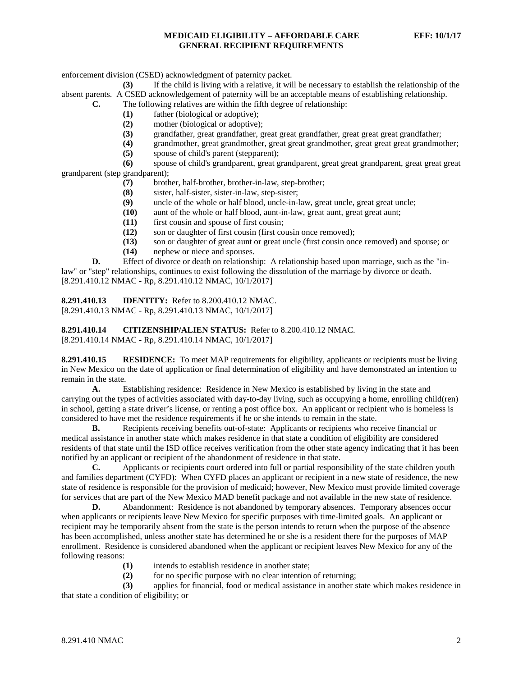enforcement division (CSED) acknowledgment of paternity packet.

**(3)** If the child is living with a relative, it will be necessary to establish the relationship of the absent parents. A CSED acknowledgement of paternity will be an acceptable means of establishing relationship. **C.** The following relatives are within the fifth degree of relationship:

- **(1)** father (biological or adoptive);
- 
- (2) mother (biological or adoptive);<br>(3) grandfather, great grandfather, g **(3)** grandfather, great grandfather, great great grandfather, great great great grandfather;
- **(4)** grandmother, great grandmother, great great grandmother, great great great grandmother;
- **(5)** spouse of child's parent (stepparent);

**(6)** spouse of child's grandparent, great grandparent, great great grandparent, great great great grandparent (step grandparent);

- (7) brother, half-brother, brother-in-law, step-brother;<br>
(8) sister, half-sister, sister-in-law, step-sister;
- sister, half-sister, sister-in-law, step-sister;
- **(9)** uncle of the whole or half blood, uncle-in-law, great uncle, great great uncle;
- **(10)** aunt of the whole or half blood, aunt-in-law, great aunt, great great aunt;
- first cousin and spouse of first cousin;
- **(12)** son or daughter of first cousin (first cousin once removed);
- **(13)** son or daughter of great aunt or great uncle (first cousin once removed) and spouse; or
- **(14)** nephew or niece and spouses.

**D.** Effect of divorce or death on relationship: A relationship based upon marriage, such as the "inlaw" or "step" relationships, continues to exist following the dissolution of the marriage by divorce or death. [8.291.410.12 NMAC - Rp, 8.291.410.12 NMAC, 10/1/2017]

**8.291.410.13 IDENTITY:** Refer to 8.200.410.12 NMAC. [8.291.410.13 NMAC - Rp, 8.291.410.13 NMAC, 10/1/2017]

**8.291.410.14 CITIZENSHIP/ALIEN STATUS:** Refer to 8.200.410.12 NMAC. [8.291.410.14 NMAC - Rp, 8.291.410.14 NMAC, 10/1/2017]

**8.291.410.15 RESIDENCE:** To meet MAP requirements for eligibility, applicants or recipients must be living in New Mexico on the date of application or final determination of eligibility and have demonstrated an intention to remain in the state.

**A.** Establishing residence: Residence in New Mexico is established by living in the state and carrying out the types of activities associated with day-to-day living, such as occupying a home, enrolling child(ren) in school, getting a state driver's license, or renting a post office box. An applicant or recipient who is homeless is considered to have met the residence requirements if he or she intends to remain in the state.

**B.** Recipients receiving benefits out-of-state: Applicants or recipients who receive financial or medical assistance in another state which makes residence in that state a condition of eligibility are considered residents of that state until the ISD office receives verification from the other state agency indicating that it has been notified by an applicant or recipient of the abandonment of residence in that state.

**C.** Applicants or recipients court ordered into full or partial responsibility of the state children youth and families department (CYFD): When CYFD places an applicant or recipient in a new state of residence, the new state of residence is responsible for the provision of medicaid; however, New Mexico must provide limited coverage for services that are part of the New Mexico MAD benefit package and not available in the new state of residence.

**D.** Abandonment: Residence is not abandoned by temporary absences. Temporary absences occur when applicants or recipients leave New Mexico for specific purposes with time-limited goals. An applicant or recipient may be temporarily absent from the state is the person intends to return when the purpose of the absence has been accomplished, unless another state has determined he or she is a resident there for the purposes of MAP enrollment. Residence is considered abandoned when the applicant or recipient leaves New Mexico for any of the following reasons:

- **(1)** intends to establish residence in another state;
- **(2)** for no specific purpose with no clear intention of returning;

**(3)** applies for financial, food or medical assistance in another state which makes residence in that state a condition of eligibility; or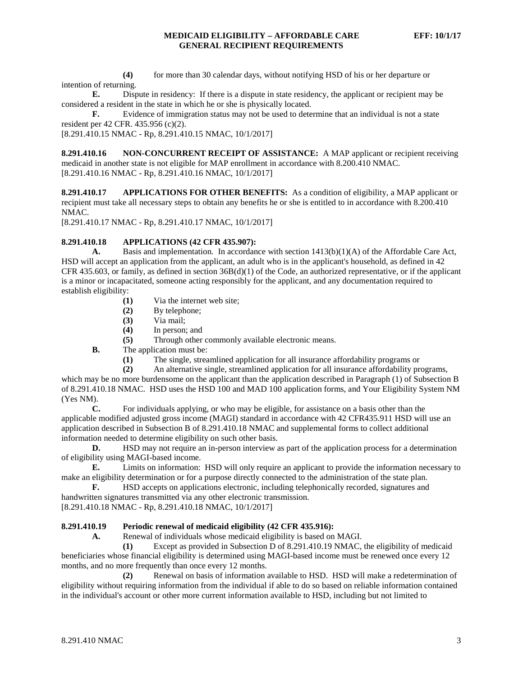**(4)** for more than 30 calendar days, without notifying HSD of his or her departure or intention of returning.

**E.** Dispute in residency: If there is a dispute in state residency, the applicant or recipient may be considered a resident in the state in which he or she is physically located.

**F.** Evidence of immigration status may not be used to determine that an individual is not a state resident per 42 CFR. 435.956 (c)(2).

[8.291.410.15 NMAC - Rp, 8.291.410.15 NMAC, 10/1/2017]

**8.291.410.16 NON-CONCURRENT RECEIPT OF ASSISTANCE:** A MAP applicant or recipient receiving medicaid in another state is not eligible for MAP enrollment in accordance with 8.200.410 NMAC. [8.291.410.16 NMAC - Rp, 8.291.410.16 NMAC, 10/1/2017]

**8.291.410.17 APPLICATIONS FOR OTHER BENEFITS:** As a condition of eligibility, a MAP applicant or recipient must take all necessary steps to obtain any benefits he or she is entitled to in accordance with 8.200.410 NMAC.

[8.291.410.17 NMAC - Rp, 8.291.410.17 NMAC, 10/1/2017]

#### **8.291.410.18 APPLICATIONS (42 CFR 435.907):**

**A.** Basis and implementation*.* In accordance with section 1413(b)(1)(A) of the Affordable Care Act, HSD will accept an application from the applicant, an adult who is in the applicant's household, as defined in 42 CFR 435.603, or family, as defined in section 36B(d)(1) of the Code, an authorized representative, or if the applicant is a minor or incapacitated, someone acting responsibly for the applicant, and any documentation required to establish eligibility:

- **(1)** Via the internet web site;
- **(2)** By telephone;
- **(3)** Via mail;
- **(4)** In person; and
- **(5)** Through other commonly available electronic means.
- **B.** The application must be:
	- **(1)** The single, streamlined application for all insurance affordability programs or
	- **(2)** An alternative single, streamlined application for all insurance affordability programs,

which may be no more burdensome on the applicant than the application described in Paragraph (1) of Subsection B of 8.291.410.18 NMAC. HSD uses the HSD 100 and MAD 100 application forms, and Your Eligibility System NM (Yes NM).

**C.** For individuals applying, or who may be eligible, for assistance on a basis other than the applicable modified adjusted gross income (MAGI) standard in accordance with 42 CFR435.911 HSD will use an application described in Subsection B of 8.291.410.18 NMAC and supplemental forms to collect additional information needed to determine eligibility on such other basis.

**D.** HSD may not require an in-person interview as part of the application process for a determination of eligibility using MAGI-based income.

**E.** Limits on information: HSD will only require an applicant to provide the information necessary to make an eligibility determination or for a purpose directly connected to the administration of the state plan.

**F.** HSD accepts on applications electronic, including telephonically recorded, signatures and handwritten signatures transmitted via any other electronic transmission.

[8.291.410.18 NMAC - Rp, 8.291.410.18 NMAC, 10/1/2017]

#### **8.291.410.19 Periodic renewal of medicaid eligibility (42 CFR 435.916):**

**A.** Renewal of individuals whose medicaid eligibility is based on MAGI.

**(1)** Except as provided in Subsection D of 8.291.410.19 NMAC, the eligibility of medicaid beneficiaries whose financial eligibility is determined using MAGI-based income must be renewed once every 12 months, and no more frequently than once every 12 months.

**(2)** Renewal on basis of information available to HSD. HSD will make a redetermination of eligibility without requiring information from the individual if able to do so based on reliable information contained in the individual's account or other more current information available to HSD, including but not limited to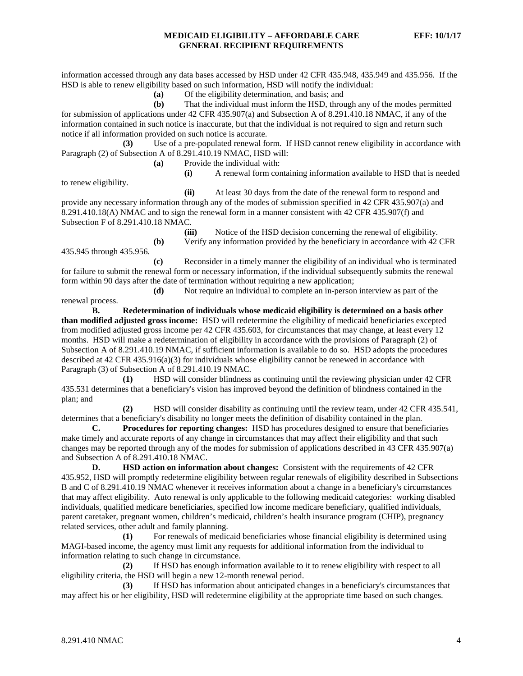information accessed through any data bases accessed by HSD under 42 CFR 435.948, 435.949 and 435.956. If the HSD is able to renew eligibility based on such information, HSD will notify the individual:

**(a)** Of the eligibility determination, and basis; and

**(b)** That the individual must inform the HSD, through any of the modes permitted for submission of applications under 42 CFR 435.907(a) and Subsection A of 8.291.410.18 NMAC, if any of the information contained in such notice is inaccurate, but that the individual is not required to sign and return such notice if all information provided on such notice is accurate.

**(3)** Use of a pre-populated renewal form. If HSD cannot renew eligibility in accordance with Paragraph (2) of Subsection A of 8.291.410.19 NMAC, HSD will:

**(a)** Provide the individual with:

**(i)** A renewal form containing information available to HSD that is needed

**(ii)** At least 30 days from the date of the renewal form to respond and provide any necessary information through any of the modes of submission specified in 42 CFR 435.907(a) and 8.291.410.18(A) NMAC and to sign the renewal form in a manner consistent with 42 CFR 435.907(f) and Subsection F of 8.291.410.18 NMAC.

435.945 through 435.956.

**(iii)** Notice of the HSD decision concerning the renewal of eligibility. **(b)** Verify any information provided by the beneficiary in accordance with 42 CFR

**(c)** Reconsider in a timely manner the eligibility of an individual who is terminated for failure to submit the renewal form or necessary information, if the individual subsequently submits the renewal form within 90 days after the date of termination without requiring a new application;

**(d)** Not require an individual to complete an in-person interview as part of the renewal process.

**B. Redetermination of individuals whose medicaid eligibility is determined on a basis other than modified adjusted gross income:** HSD will redetermine the eligibility of medicaid beneficiaries excepted from modified adjusted gross income per 42 CFR 435.603, for circumstances that may change, at least every 12 months. HSD will make a redetermination of eligibility in accordance with the provisions of Paragraph (2) of Subsection A of 8.291.410.19 NMAC, if sufficient information is available to do so. HSD adopts the procedures described at 42 CFR 435.916(a)(3) for individuals whose eligibility cannot be renewed in accordance with Paragraph (3) of Subsection A of 8.291.410.19 NMAC.

**(1)** HSD will consider blindness as continuing until the reviewing physician under 42 CFR 435.531 determines that a beneficiary's vision has improved beyond the definition of blindness contained in the plan; and

**(2)** HSD will consider disability as continuing until the review team, under 42 CFR 435.541, determines that a beneficiary's disability no longer meets the definition of disability contained in the plan.

**C. Procedures for reporting changes:** HSD has procedures designed to ensure that beneficiaries make timely and accurate reports of any change in circumstances that may affect their eligibility and that such changes may be reported through any of the modes for submission of applications described in 43 CFR 435.907(a) and Subsection A of 8.291.410.18 NMAC.

**D. HSD action on information about changes:** Consistent with the requirements of 42 CFR 435.952, HSD will promptly redetermine eligibility between regular renewals of eligibility described in Subsections B and C of 8.291.410.19 NMAC whenever it receives information about a change in a beneficiary's circumstances that may affect eligibility. Auto renewal is only applicable to the following medicaid categories: working disabled individuals, qualified medicare beneficiaries, specified low income medicare beneficiary, qualified individuals, parent caretaker, pregnant women, children's medicaid, children's health insurance program (CHIP), pregnancy related services, other adult and family planning.

**(1)** For renewals of medicaid beneficiaries whose financial eligibility is determined using MAGI-based income, the agency must limit any requests for additional information from the individual to information relating to such change in circumstance.

**(2)** If HSD has enough information available to it to renew eligibility with respect to all eligibility criteria, the HSD will begin a new 12-month renewal period.

**(3)** If HSD has information about anticipated changes in a beneficiary's circumstances that may affect his or her eligibility, HSD will redetermine eligibility at the appropriate time based on such changes.

to renew eligibility.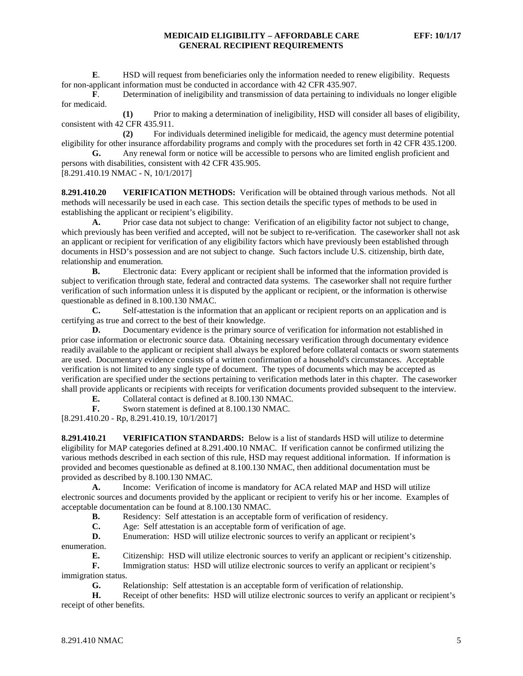**E.** HSD will request from beneficiaries only the information needed to renew eligibility. Requests for non-applicant information must be conducted in accordance with 42 CFR 435.907.

**F**. Determination of ineligibility and transmission of data pertaining to individuals no longer eligible for medicaid.

**(1)** Prior to making a determination of ineligibility, HSD will consider all bases of eligibility, consistent with 42 CFR 435.911.

**(2)** For individuals determined ineligible for medicaid, the agency must determine potential eligibility for other insurance affordability programs and comply with the procedures set forth in 42 CFR 435.1200. **G.** Any renewal form or notice will be accessible to persons who are limited english proficient and

persons with disabilities, consistent with 42 CFR 435.905. [8.291.410.19 NMAC - N, 10/1/2017]

**8.291.410.20 VERIFICATION METHODS:** Verification will be obtained through various methods. Not all methods will necessarily be used in each case. This section details the specific types of methods to be used in establishing the applicant or recipient's eligibility.

**A.** Prior case data not subject to change: Verification of an eligibility factor not subject to change, which previously has been verified and accepted, will not be subject to re-verification. The caseworker shall not ask an applicant or recipient for verification of any eligibility factors which have previously been established through documents in HSD's possession and are not subject to change. Such factors include U.S. citizenship, birth date, relationship and enumeration.

**B.** Electronic data: Every applicant or recipient shall be informed that the information provided is subject to verification through state, federal and contracted data systems. The caseworker shall not require further verification of such information unless it is disputed by the applicant or recipient, or the information is otherwise questionable as defined in 8.100.130 NMAC.<br> **C.** Self-attestation is the inform

**C.** Self-attestation is the information that an applicant or recipient reports on an application and is certifying as true and correct to the best of their knowledge.

**D.** Documentary evidence is the primary source of verification for information not established in prior case information or electronic source data. Obtaining necessary verification through documentary evidence readily available to the applicant or recipient shall always be explored before collateral contacts or sworn statements are used. Documentary evidence consists of a written confirmation of a household's circumstances. Acceptable verification is not limited to any single type of document. The types of documents which may be accepted as verification are specified under the sections pertaining to verification methods later in this chapter. The caseworker shall provide applicants or recipients with receipts for verification documents provided subsequent to the interview.

**E.** Collateral contact is defined at 8.100.130 NMAC.

**F.** Sworn statement is defined at 8.100.130 NMAC.

[8.291.410.20 - Rp, 8.291.410.19, 10/1/2017]

**8.291.410.21 VERIFICATION STANDARDS:** Below is a list of standards HSD will utilize to determine eligibility for MAP categories defined at 8.291.400.10 NMAC. If verification cannot be confirmed utilizing the various methods described in each section of this rule, HSD may request additional information. If information is provided and becomes questionable as defined at 8.100.130 NMAC, then additional documentation must be provided as described by 8.100.130 NMAC.

**A.** Income: Verification of income is mandatory for ACA related MAP and HSD will utilize electronic sources and documents provided by the applicant or recipient to verify his or her income. Examples of acceptable documentation can be found at 8.100.130 NMAC.

**B.** Residency: Self attestation is an acceptable form of verification of residency.<br> **C.** Age: Self attestation is an acceptable form of verification of age.

Age: Self attestation is an acceptable form of verification of age.

**D.** Enumeration: HSD will utilize electronic sources to verify an applicant or recipient's enumeration.

**E.** Citizenship: HSD will utilize electronic sources to verify an applicant or recipient's citizenship.

**F.** Immigration status: HSD will utilize electronic sources to verify an applicant or recipient's immigration status.

**G.** Relationship: Self attestation is an acceptable form of verification of relationship.

**H.** Receipt of other benefits: HSD will utilize electronic sources to verify an applicant or recipient's receipt of other benefits.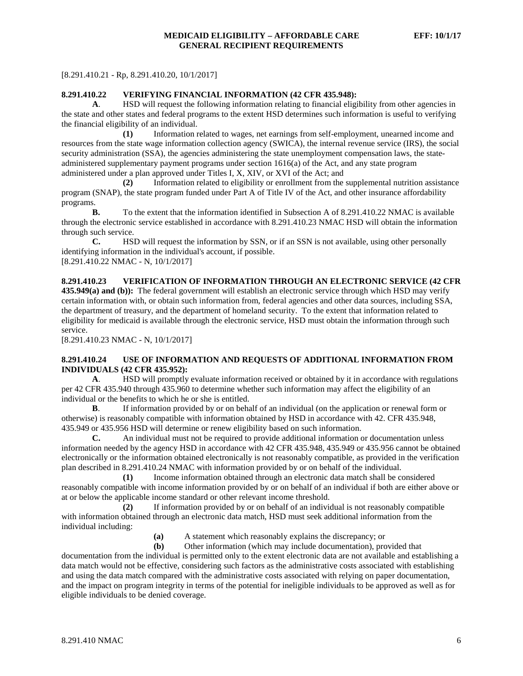[8.291.410.21 - Rp, 8.291.410.20, 10/1/2017]

#### **8.291.410.22 VERIFYING FINANCIAL INFORMATION (42 CFR 435.948):**

**A**. HSD will request the following information relating to financial eligibility from other agencies in the state and other states and federal programs to the extent HSD determines such information is useful to verifying the financial eligibility of an individual.

**(1)** Information related to wages, net earnings from self-employment, unearned income and resources from the state wage information collection agency (SWICA), the internal revenue service (IRS), the social security administration (SSA), the agencies administering the state unemployment compensation laws, the stateadministered supplementary payment programs under section 1616(a) of the Act, and any state program administered under a plan approved under Titles I, X, XIV, or XVI of the Act; and

**(2)** Information related to eligibility or enrollment from the supplemental nutrition assistance program (SNAP), the state program funded under Part A of Title IV of the Act, and other insurance affordability programs.

**B.** To the extent that the information identified in Subsection A of 8.291.410.22 NMAC is available through the electronic service established in accordance with 8.291.410.23 NMAC HSD will obtain the information through such service.

**C.** HSD will request the information by SSN, or if an SSN is not available, using other personally identifying information in the individual's account, if possible. [8.291.410.22 NMAC - N, 10/1/2017]

## **8.291.410.23 VERIFICATION OF INFORMATION THROUGH AN ELECTRONIC SERVICE (42 CFR**

**435.949(a) and (b)):** The federal government will establish an electronic service through which HSD may verify certain information with, or obtain such information from, federal agencies and other data sources, including SSA, the department of treasury, and the department of homeland security. To the extent that information related to eligibility for medicaid is available through the electronic service, HSD must obtain the information through such service.

[8.291.410.23 NMAC - N, 10/1/2017]

#### **8.291.410.24 USE OF INFORMATION AND REQUESTS OF ADDITIONAL INFORMATION FROM INDIVIDUALS (42 CFR 435.952):**

**A**. HSD will promptly evaluate information received or obtained by it in accordance with regulations per 42 CFR 435.940 through 435.960 to determine whether such information may affect the eligibility of an individual or the benefits to which he or she is entitled.

**B**. If information provided by or on behalf of an individual (on the application or renewal form or otherwise) is reasonably compatible with information obtained by HSD in accordance with 42. CFR 435.948, 435.949 or 435.956 HSD will determine or renew eligibility based on such information.

**C.** An individual must not be required to provide additional information or documentation unless information needed by the agency HSD in accordance with 42 CFR 435.948, 435.949 or 435.956 cannot be obtained electronically or the information obtained electronically is not reasonably compatible, as provided in the verification plan described in 8.291.410.24 NMAC with information provided by or on behalf of the individual.

**(1)** Income information obtained through an electronic data match shall be considered reasonably compatible with income information provided by or on behalf of an individual if both are either above or at or below the applicable income standard or other relevant income threshold.

**(2)** If information provided by or on behalf of an individual is not reasonably compatible with information obtained through an electronic data match, HSD must seek additional information from the individual including:

**(a)** A statement which reasonably explains the discrepancy; or

**(b)** Other information (which may include documentation), provided that documentation from the individual is permitted only to the extent electronic data are not available and establishing a data match would not be effective, considering such factors as the administrative costs associated with establishing and using the data match compared with the administrative costs associated with relying on paper documentation, and the impact on program integrity in terms of the potential for ineligible individuals to be approved as well as for eligible individuals to be denied coverage.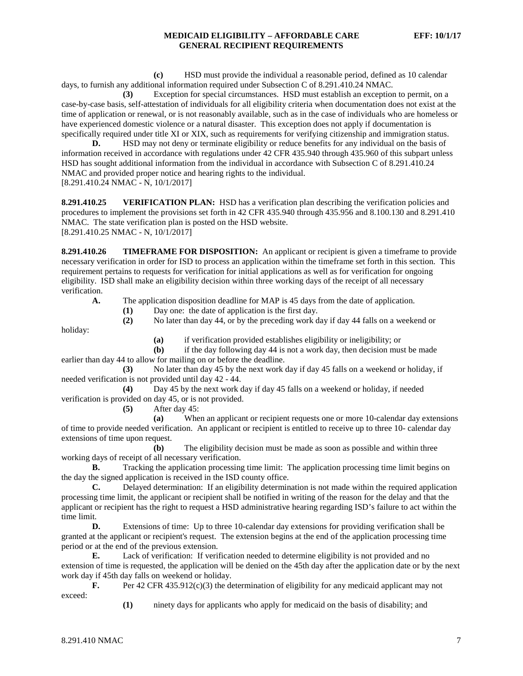**(c)** HSD must provide the individual a reasonable period, defined as 10 calendar days, to furnish any additional information required under Subsection C of 8.291.410.24 NMAC.

**(3)** Exception for special circumstances. HSD must establish an exception to permit, on a case-by-case basis, self-attestation of individuals for all eligibility criteria when documentation does not exist at the time of application or renewal, or is not reasonably available, such as in the case of individuals who are homeless or have experienced domestic violence or a natural disaster. This exception does not apply if documentation is specifically required under title XI or XIX, such as requirements for verifying citizenship and immigration status.

**D.** HSD may not deny or terminate eligibility or reduce benefits for any individual on the basis of information received in accordance with regulations under 42 CFR 435.940 through 435.960 of this subpart unless HSD has sought additional information from the individual in accordance with Subsection C of 8.291.410.24 NMAC and provided proper notice and hearing rights to the individual. [8.291.410.24 NMAC - N, 10/1/2017]

**8.291.410.25 VERIFICATION PLAN:** HSD has a verification plan describing the verification policies and procedures to implement the provisions set forth in 42 CFR 435.940 through 435.956 and 8.100.130 and 8.291.410 NMAC. The state verification plan is posted on the HSD website. [8.291.410.25 NMAC - N, 10/1/2017]

**8.291.410.26 TIMEFRAME FOR DISPOSITION:** An applicant or recipient is given a timeframe to provide necessary verification in order for ISD to process an application within the timeframe set forth in this section. This requirement pertains to requests for verification for initial applications as well as for verification for ongoing eligibility. ISD shall make an eligibility decision within three working days of the receipt of all necessary verification.

**A.** The application disposition deadline for MAP is 45 days from the date of application.

**(1)** Day one: the date of application is the first day. **(2)** No later than day 44, or by the preceding work day if day 44 falls on a weekend or

holiday:

**(a)** if verification provided establishes eligibility or ineligibility; or

**(b)** if the day following day 44 is not a work day, then decision must be made earlier than day 44 to allow for mailing on or before the deadline.

**(3)** No later than day 45 by the next work day if day 45 falls on a weekend or holiday, if needed verification is not provided until day 42 - 44.

**(4)** Day 45 by the next work day if day 45 falls on a weekend or holiday, if needed verification is provided on day 45, or is not provided.

**(5)** After day 45:

**(a)** When an applicant or recipient requests one or more 10-calendar day extensions of time to provide needed verification. An applicant or recipient is entitled to receive up to three 10- calendar day extensions of time upon request.

**(b)** The eligibility decision must be made as soon as possible and within three working days of receipt of all necessary verification.

**B.** Tracking the application processing time limit: The application processing time limit begins on the day the signed application is received in the ISD county office.

**C.** Delayed determination: If an eligibility determination is not made within the required application processing time limit, the applicant or recipient shall be notified in writing of the reason for the delay and that the applicant or recipient has the right to request a HSD administrative hearing regarding ISD's failure to act within the time limit.

**D.** Extensions of time: Up to three 10-calendar day extensions for providing verification shall be granted at the applicant or recipient's request. The extension begins at the end of the application processing time period or at the end of the previous extension.

**E.** Lack of verification: If verification needed to determine eligibility is not provided and no extension of time is requested, the application will be denied on the 45th day after the application date or by the next work day if 45th day falls on weekend or holiday.

**F.** Per 42 CFR 435.912(c)(3) the determination of eligibility for any medicaid applicant may not exceed:

**(1)** ninety days for applicants who apply for medicaid on the basis of disability; and